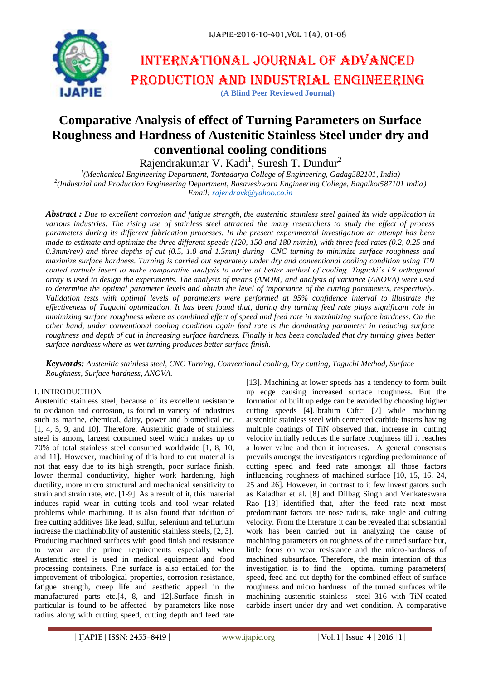

# International journal of advanced production and industrial engineering **(A Blind Peer Reviewed Journal)**

# **Comparative Analysis of effect of Turning Parameters on Surface Roughness and Hardness of Austenitic Stainless Steel under dry and conventional cooling conditions**

Rajendrakumar V. Kadi<sup>1</sup>, Suresh T. Dundur<sup>2</sup>

*1 (Mechanical Engineering Department, Tontadarya College of Engineering, Gadag582101, India) 2 (Industrial and Production Engineering Department, Basaveshwara Engineering College, Bagalkot587101 India) Email: rajendravk@yahoo.co.in*

*Abstract : Due to excellent corrosion and fatigue strength, the austenitic stainless steel gained its wide application in various industries. The rising use of stainless steel attracted the many researchers to study the effect of process parameters during its different fabrication processes. In the present experimental investigation an attempt has been made to estimate and optimize the three different speeds (120, 150 and 180 m/min), with three feed rates (0.2, 0.25 and 0.3mm/rev) and three depths of cut (0.5, 1.0 and 1.5mm) during CNC turning to minimize surface roughness and maximize surface hardness. Turning is carried out separately under dry and conventional cooling condition using TiN coated carbide insert to make comparative analysis to arrive at better method of cooling. Taguchi's L9 orthogonal array is used to design the experiments. The analysis of means (ANOM) and analysis of variance (ANOVA) were used to determine the optimal parameter levels and obtain the level of importance of the cutting parameters, respectively. Validation tests with optimal levels of parameters were performed at 95% confidence interval to illustrate the effectiveness of Taguchi optimization. It has been found that, during dry turning feed rate plays significant role in minimizing surface roughness where as combined effect of speed and feed rate in maximizing surface hardness. On the other hand, under conventional cooling condition again feed rate is the dominating parameter in reducing surface roughness and depth of cut in increasing surface hardness. Finally it has been concluded that dry turning gives better surface hardness where as wet turning produces better surface finish.*

*Keywords: Austenitic stainless steel, CNC Turning, Conventional cooling, Dry cutting, Taguchi Method, Surface Roughness, Surface hardness, ANOVA.*

## I. INTRODUCTION

Austenitic stainless steel, because of its excellent resistance to oxidation and corrosion, is found in variety of industries such as marine, chemical, dairy, power and biomedical etc. [1, 4, 5, 9, and 10]. Therefore, Austenitic grade of stainless steel is among largest consumed steel which makes up to 70% of total stainless steel consumed worldwide [1, 8, 10, and 11]. However, machining of this hard to cut material is not that easy due to its high strength, poor surface finish, lower thermal conductivity, higher work hardening, high ductility, more micro structural and mechanical sensitivity to strain and strain rate, etc. [1-9]. As a result of it, this material induces rapid wear in cutting tools and tool wear related problems while machining. It is also found that addition of free cutting additives like lead, sulfur, selenium and tellurium increase the machinability of austenitic stainless steels, [2, 3]. Producing machined surfaces with good finish and resistance to wear are the prime requirements especially when Austenitic steel is used in medical equipment and food processing containers. Fine surface is also entailed for the improvement of tribological properties, corrosion resistance, fatigue strength, creep life and aesthetic appeal in the manufactured parts etc.[4, 8, and 12].Surface finish in particular is found to be affected by parameters like nose radius along with cutting speed, cutting depth and feed rate

[13]. Machining at lower speeds has a tendency to form built up edge causing increased surface roughness. But the formation of built up edge can be avoided by choosing higher cutting speeds [4].Ibrahim Ciftci [7] while machining austenitic stainless steel with cemented carbide inserts having multiple coatings of TiN observed that, increase in cutting velocity initially reduces the surface roughness till it reaches a lower value and then it increases. A general consensus prevails amongst the investigators regarding predominance of cutting speed and feed rate amongst all those factors influencing roughness of machined surface [10, 15, 16, 24, 25 and 26]. However, in contrast to it few investigators such as Kaladhar et al. [8] and Dilbag Singh and Venkateswara Rao [13] identified that, after the feed rate next most predominant factors are nose radius, rake angle and cutting velocity. From the literature it can be revealed that substantial work has been carried out in analyzing the cause of machining parameters on roughness of the turned surface but, little focus on wear resistance and the micro-hardness of machined subsurface. Therefore, the main intention of this investigation is to find the optimal turning parameters( speed, feed and cut depth) for the combined effect of surface roughness and micro hardness of the turned surfaces while machining austenitic stainless steel 316 with TiN-coated carbide insert under dry and wet condition. A comparative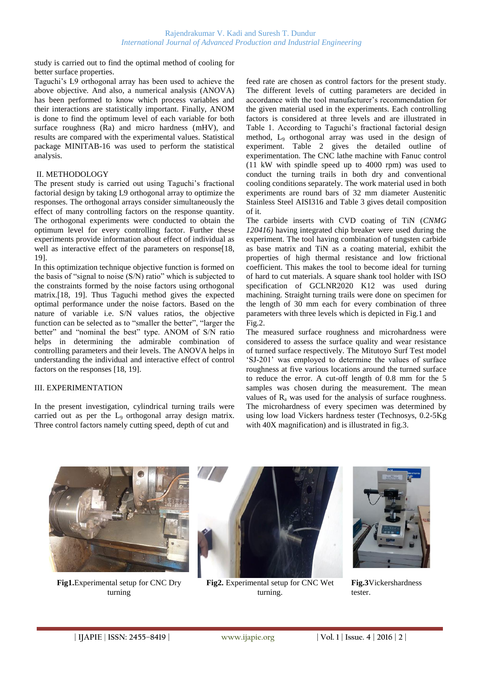study is carried out to find the optimal method of cooling for better surface properties.

Taguchi"s L9 orthogonal array has been used to achieve the above objective. And also, a numerical analysis (ANOVA) has been performed to know which process variables and their interactions are statistically important. Finally, ANOM is done to find the optimum level of each variable for both surface roughness (Ra) and micro hardness (mHV), and results are compared with the experimental values. Statistical package MINITAB-16 was used to perform the statistical analysis.

#### II. METHODOLOGY

The present study is carried out using Taguchi"s fractional factorial design by taking L9 orthogonal array to optimize the responses. The orthogonal arrays consider simultaneously the effect of many controlling factors on the response quantity. The orthogonal experiments were conducted to obtain the optimum level for every controlling factor. Further these experiments provide information about effect of individual as well as interactive effect of the parameters on response[18, 19].

In this optimization technique objective function is formed on the basis of "signal to noise (S/N) ratio" which is subjected to the constraints formed by the noise factors using orthogonal matrix.[18, 19]. Thus Taguchi method gives the expected optimal performance under the noise factors. Based on the nature of variable i.e. S/N values ratios, the objective function can be selected as to "smaller the better", "larger the better" and "nominal the best" type. ANOM of S/N ratio helps in determining the admirable combination of controlling parameters and their levels. The ANOVA helps in understanding the individual and interactive effect of control factors on the responses [18, 19].

#### III. EXPERIMENTATION

In the present investigation, cylindrical turning trails were carried out as per the L<sub>9</sub> orthogonal array design matrix. Three control factors namely cutting speed, depth of cut and

feed rate are chosen as control factors for the present study. The different levels of cutting parameters are decided in accordance with the tool manufacturer's recommendation for the given material used in the experiments. Each controlling factors is considered at three levels and are illustrated in Table 1. According to Taguchi's fractional factorial design method, L<sup>9</sup> orthogonal array was used in the design of experiment. Table 2 gives the detailed outline of experimentation. The CNC lathe machine with Fanuc control (11 kW with spindle speed up to 4000 rpm) was used to conduct the turning trails in both dry and conventional cooling conditions separately. The work material used in both experiments are round bars of 32 mm diameter Austenitic Stainless Steel AISI316 and Table 3 gives detail composition of it.

The carbide inserts with CVD coating of TiN (*CNMG 120416)* having integrated chip breaker were used during the experiment. The tool having combination of tungsten carbide as base matrix and TiN as a coating material, exhibit the properties of high thermal resistance and low frictional coefficient. This makes the tool to become ideal for turning of hard to cut materials. A square shank tool holder with ISO specification of GCLNR2020 K12 was used during machining. Straight turning trails were done on specimen for the length of 30 mm each for every combination of three parameters with three levels which is depicted in Fig.1 and Fig.2.

The measured surface roughness and microhardness were considered to assess the surface quality and wear resistance of turned surface respectively. The Mitutoyo Surf Test model "SJ-201" was employed to determine the values of surface roughness at five various locations around the turned surface to reduce the error. A cut-off length of 0.8 mm for the 5 samples was chosen during the measurement. The mean values of  $R_a$  was used for the analysis of surface roughness. The microhardness of every specimen was determined by using low load Vickers hardness tester (Technosys, 0.2-5Kg with 40X magnification) and is illustrated in fig.3.



**Fig1.**Experimental setup for CNC Dry turning



**Fig2.** Experimental setup for CNC Wet turning.



**Fig.3**Vickershardness tester.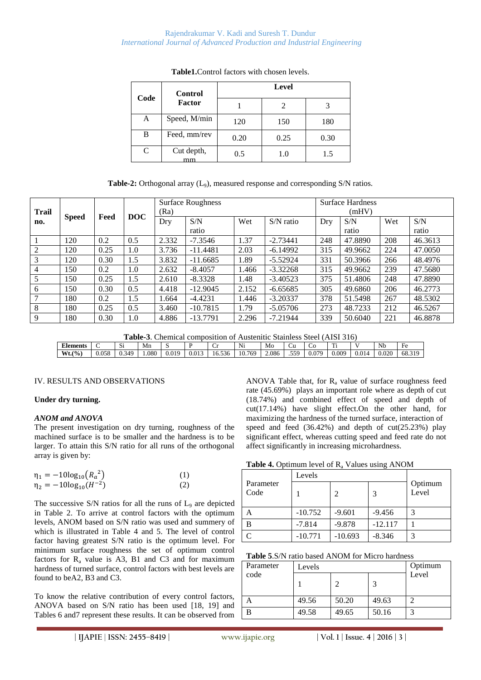| Code | <b>Control</b>   | Level |      |      |  |
|------|------------------|-------|------|------|--|
|      | Factor           |       |      |      |  |
| A    | Speed, M/min     | 120   | 150  | 180  |  |
| B    | Feed, mm/rev     | 0.20  | 0.25 | 0.30 |  |
| C    | Cut depth,<br>mm | 0.5   | 1.0  | 1.5  |  |

**Table1.**Control factors with chosen levels.

| <b>Trail</b>   |              |      |            | <b>Surface Roughness</b><br>(Ra) |            |       | <b>Surface Hardness</b><br>(mHV) |     |         |     |         |
|----------------|--------------|------|------------|----------------------------------|------------|-------|----------------------------------|-----|---------|-----|---------|
| no.            | <b>Speed</b> | Feed | <b>DOC</b> | Dry                              | S/N        | Wet   | $S/N$ ratio                      | Dry | S/N     | Wet | S/N     |
|                |              |      |            |                                  | ratio      |       |                                  |     | ratio   |     | ratio   |
|                | 120          | 0.2  | 0.5        | 2.332                            | $-7.3546$  | 1.37  | $-2.73441$                       | 248 | 47.8890 | 208 | 46.3613 |
| 2              | 120          | 0.25 | 1.0        | 3.736                            | $-11.4481$ | 2.03  | $-6.14992$                       | 315 | 49.9662 | 224 | 47.0050 |
| 3              | 120          | 0.30 | 1.5        | 3.832                            | $-11.6685$ | 1.89  | $-5.52924$                       | 331 | 50.3966 | 266 | 48.4976 |
| $\overline{4}$ | 150          | 0.2  | 1.0        | 2.632                            | $-8.4057$  | 1.466 | $-3.32268$                       | 315 | 49.9662 | 239 | 47.5680 |
| 5              | 150          | 0.25 | 1.5        | 2.610                            | $-8.3328$  | 1.48  | $-3.40523$                       | 375 | 51.4806 | 248 | 47.8890 |
| 6              | 150          | 0.30 | 0.5        | 4.418                            | $-12.9045$ | 2.152 | $-6.65685$                       | 305 | 49.6860 | 206 | 46.2773 |
|                | 180          | 0.2  | 1.5        | 1.664                            | $-4.4231$  | 1.446 | $-3.20337$                       | 378 | 51.5498 | 267 | 48.5302 |
| 8              | 180          | 0.25 | 0.5        | 3.460                            | $-10.7815$ | 1.79  | $-5.05706$                       | 273 | 48.7233 | 212 | 46.5267 |
| 9              | 180          | 0.30 | 1.0        | 4.886                            | $-13.7791$ | 2.296 | $-7.21944$                       | 339 | 50.6040 | 221 | 46.8878 |

**Table-3**. Chemical composition of Austenitic Stainless Steel (AISI 316)

| <b>Elements</b> |       | $\mathbf{C}$<br>ມ         | Mn    |       | D     | ◡                     | $\sim$ $\sim$<br>Ni | Mo    | ◡u         | w     | m.<br>. . |       | Nb    | HΑ<br>1 U |
|-----------------|-------|---------------------------|-------|-------|-------|-----------------------|---------------------|-------|------------|-------|-----------|-------|-------|-----------|
| Wt.(%)          | 0.058 | 340<br>$\sim$ $\sim$<br>ິ | 1.080 | 0.019 | 0.013 | $\sim$<br>-<br>.6.536 | .769<br>10.         | 2.086 | 550<br>.JJ | 0.079 | 0.009     | 0.014 | 0.020 | 68.319    |
|                 |       |                           |       |       |       |                       |                     |       |            |       |           |       |       |           |

## IV. RESULTS AND OBSERVATIONS

## **Under dry turning.**

## *ANOM and ANOVA*

The present investigation on dry turning, roughness of the machined surface is to be smaller and the hardness is to be larger. To attain this S/N ratio for all runs of the orthogonal array is given by:

| $\eta_1 = -10\log_{10}(R_a^2)$  | (1) |
|---------------------------------|-----|
| $\eta_2 = -10\log_{10}(H^{-2})$ | (2) |

The successive  $S/N$  ratios for all the runs of  $L_9$  are depicted in Table 2. To arrive at control factors with the optimum levels, ANOM based on S/N ratio was used and summery of which is illustrated in Table 4 and 5. The level of control factor having greatest S/N ratio is the optimum level. For minimum surface roughness the set of optimum control factors for  $R_a$  value is A3, B1 and C3 and for maximum hardness of turned surface, control factors with best levels are found to beA2, B3 and C3.

To know the relative contribution of every control factors, ANOVA based on S/N ratio has been used [18, 19] and Tables 6 and7 represent these results. It can be observed from ANOVA Table that, for  $R_a$  value of surface roughness feed rate (45.69%) plays an important role where as depth of cut (18.74%) and combined effect of speed and depth of cut(17.14%) have slight effect.On the other hand, for maximizing the hardness of the turned surface, interaction of speed and feed (36.42%) and depth of cut(25.23%) play significant effect, whereas cutting speed and feed rate do not affect significantly in increasing microhardness.

## Table 4. Optimum level of R<sub>a</sub> Values using ANOM

|                   | Levels    |           |           |                  |
|-------------------|-----------|-----------|-----------|------------------|
| Parameter<br>Code |           |           |           | Optimum<br>Level |
| А                 | $-10.752$ | $-9.601$  | $-9.456$  |                  |
| B                 | $-7.814$  | $-9.878$  | $-12.117$ |                  |
|                   | $-10.771$ | $-10.693$ | $-8.346$  | 3                |

|  |  | <b>Table 5.S/N</b> ratio based ANOM for Micro hardness |
|--|--|--------------------------------------------------------|
|--|--|--------------------------------------------------------|

| Parameter | Levels | Optimum |       |       |
|-----------|--------|---------|-------|-------|
| code      |        |         |       | Level |
|           | 49.56  | 50.20   | 49.63 |       |
|           | 49.58  | 49.65   | 50.16 | ╭     |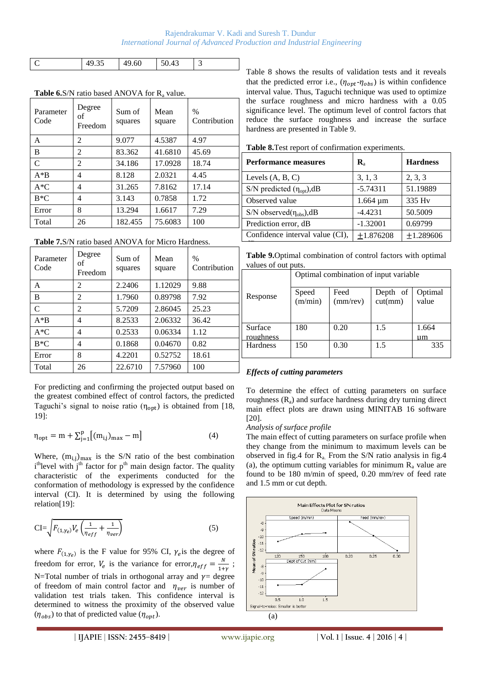#### Rajendrakumar V. Kadi and Suresh T. Dundur *International Journal of Advanced Production and Industrial Engineering*

| ໍ່ | .60 | - |
|----|-----|---|

| Parameter<br>Code | Degree<br>of<br>Freedom | Sum of<br>squares | Mean<br>square | $\frac{0}{0}$<br>Contribution |
|-------------------|-------------------------|-------------------|----------------|-------------------------------|
| A                 | $\mathfrak{D}$          | 9.077             | 4.5387         | 4.97                          |
| B                 | 2                       | 83.362            | 41.6810        | 45.69                         |
| $\mathsf{C}$      | $\mathfrak{D}$          | 34.186            | 17.0928        | 18.74                         |
| $A*B$             | 4                       | 8.128             | 2.0321         | 4.45                          |
| $A*C$             | 4                       | 31.265            | 7.8162         | 17.14                         |
| $B*C$             | 4                       | 3.143             | 0.7858         | 1.72                          |
| Error             | 8                       | 13.294            | 1.6617         | 7.29                          |
| Total             | 26                      | 182.455           | 75.6083        | 100                           |

**Table 6.**S/N ratio based ANOVA for  $R_a$  value.

**Table 7.**S/N ratio based ANOVA for Micro Hardness.

| Parameter<br>Code | Degree<br>οf<br>Freedom | Sum of<br>squares | Mean<br>square | $\frac{0}{0}$<br>Contribution |
|-------------------|-------------------------|-------------------|----------------|-------------------------------|
| A                 | 2                       | 2.2406            | 1.12029        | 9.88                          |
| B                 | 2                       | 1.7960            | 0.89798        | 7.92                          |
| $\mathcal{C}$     | 2                       | 5.7209            | 2.86045        | 25.23                         |
| $A*B$             | 4                       | 8.2533            | 2.06332        | 36.42                         |
| $A*C$             | 4                       | 0.2533            | 0.06334        | 1.12                          |
| $B*C$             | 4                       | 0.1868            | 0.04670        | 0.82                          |
| Error             | 8                       | 4.2201            | 0.52752        | 18.61                         |
| Total             | 26                      | 22.6710           | 7.57960        | 100                           |

For predicting and confirming the projected output based on the greatest combined effect of control factors, the predicted Taguchi's signal to noise ratio  $(\eta_{\text{opt}})$  is obtained from [18, 19]:

$$
\eta_{\text{opt}} = m + \sum_{j=1}^{p} [(m_{i,j})_{\text{max}} - m] \tag{4}
$$

Where,  $(m_{i,j})_{max}$  is the S/N ratio of the best combination  $i<sup>th</sup>$  level with  $j<sup>th</sup>$  factor for  $p<sup>th</sup>$  main design factor. The quality characteristic of the experiments conducted for the conformation of methodology is expressed by the confidence interval (CI). It is determined by using the following relation[19]:

$$
CI = \sqrt{F_{(1,\gamma_e)}V_e \left(\frac{1}{\eta_{eff}} + \frac{1}{\eta_{ver}}\right)}
$$
(5)

where  $F_{(1,\gamma_e)}$  is the F value for 95% CI,  $\gamma_e$  is the degree of freedom for error,  $V_e$  is the variance for error,  $\eta_{eff} = \frac{N}{4\pi}$  $\frac{N}{1+y}$ ; N=Total number of trials in orthogonal array and  $\gamma$ = degree of freedom of main control factor and  $\eta_{ver}$  is number of validation test trials taken. This confidence interval is determined to witness the proximity of the observed value  $(\eta_{obs})$  to that of predicted value  $(\eta_{opt})$ .

Table 8 shows the results of validation tests and it reveals that the predicted error i.e.,  $(\eta_{opt} - \eta_{obs})$  is within confidence interval value. Thus, Taguchi technique was used to optimize the surface roughness and micro hardness with a 0.05 significance level. The optimum level of control factors that reduce the surface roughness and increase the surface hardness are presented in Table 9.

**Table 8.**Test report of confirmation experiments.

| <b>Performance measures</b>        | ${\bf R}_{\rm a}$ | <b>Hardness</b> |
|------------------------------------|-------------------|-----------------|
| Levels $(A, B, C)$                 | 3, 1, 3           | 2, 3, 3         |
| S/N predicted $(\eta_{opt})$ , dB  | $-5.74311$        | 51.19889        |
| Observed value                     | $1.664 \mu m$     | 335 Hy          |
| $S/N$ observed $(\eta_{obs})$ , dB | $-4.4231$         | 50.5009         |
| Prediction error, dB               | $-1.32001$        | 0.69799         |
| Confidence interval value (CI),    | ±1.876208         | ±1.289606       |
|                                    |                   |                 |

**Table 9.**Optimal combination of control factors with optimal values of out puts.

|                      | Optimal combination of input variable |                  |                     |                  |  |  |  |
|----------------------|---------------------------------------|------------------|---------------------|------------------|--|--|--|
| Response             | Speed<br>(m/min)                      | Feed<br>(mm/rev) | Depth of<br>cut(mm) | Optimal<br>value |  |  |  |
| Surface<br>roughness | 180                                   | 0.20             | 1.5                 | 1.664<br>um      |  |  |  |
| <b>Hardness</b>      | 150                                   | 0.30             | 1.5                 | 335              |  |  |  |

# *Effects of cutting parameters*

To determine the effect of cutting parameters on surface roughness  $(R_a)$  and surface hardness during dry turning direct main effect plots are drawn using MINITAB 16 software [20].

## *Analysis of surface profile*

The main effect of cutting parameters on surface profile when they change from the minimum to maximum levels can be observed in fig.4 for  $R_a$ . From the S/N ratio analysis in fig.4 (a), the optimum cutting variables for minimum  $R_a$  value are found to be 180 m/min of speed, 0.20 mm/rev of feed rate and 1.5 mm or cut depth.

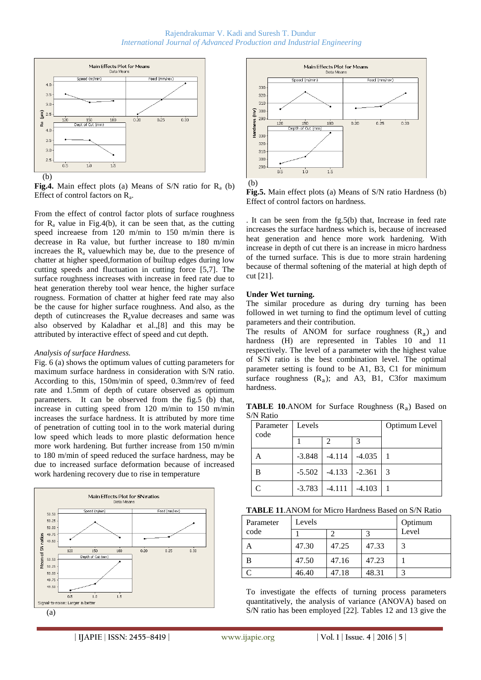

**Fig.4.** Main effect plots (a) Means of S/N ratio for  $R_a$  (b) Effect of control factors on  $R_a$ .

From the effect of control factor plots of surface roughness for  $R_a$  value in Fig.4(b), it can be seen that, as the cutting speed increaese from 120 m/min to 150 m/min there is decrease in Ra value, but further increase to 180 m/min increaes the  $R_a$  valuewhich may be, due to the presence of chatter at higher speed,formation of builtup edges during low cutting speeds and fluctuation in cutting force [5,7]. The surface roughness increases with increase in feed rate due to heat generation thereby tool wear hence, the higher surface rougness. Formation of chatter at higher feed rate may also be the cause for higher surface roughness. And also, as the depth of cutincreases the  $R$ <sub>a</sub>value decreases and same was also observed by Kaladhar et al.,[8] and this may be attributed by interactive effect of speed and cut depth.

#### *Analysis of surface Hardness.*

Fig. 6 (a) shows the optimum values of cutting parameters for maximum surface hardness in consideration with S/N ratio. According to this, 150m/min of speed, 0.3mm/rev of feed rate and 1.5mm of depth of cutare observed as optimum parameters. It can be observed from the fig.5 (b) that, increase in cutting speed from 120 m/min to 150 m/min increases the surface hardness. It is attributed by more time of penetration of cutting tool in to the work material during low speed which leads to more plastic deformation hence more work hardening. But further increase from 150 m/min to 180 m/min of speed reduced the surface hardness, may be due to increased surface deformation because of increased work hardening recovery due to rise in temperature







**Fig.5.** Main effect plots (a) Means of S/N ratio Hardness (b) Effect of control factors on hardness.

. It can be seen from the fg.5(b) that, Increase in feed rate increases the surface hardness which is, because of increased heat generation and hence more work hardening. With increase in depth of cut there is an increase in micro hardness of the turned surface. This is due to more strain hardening because of thermal softening of the material at high depth of cut [21].

#### **Under Wet turning.**

The similar procedure as during dry turning has been followed in wet turning to find the optimum level of cutting parameters and their contribution.

The results of ANOM for surface roughness  $(R_a)$  and hardness (H) are represented in Tables 10 and 11 respectively. The level of a parameter with the highest value of S/N ratio is the best combination level. The optimal parameter setting is found to be A1, B3, C1 for minimum surface roughness  $(R_a)$ ; and A3, B1, C3for maximum hardness.

**TABLE 10.**ANOM for Surface Roughness  $(R_a)$  Based on S/N Ratio

| Parameter   Levels<br>code  |          |                                | Optimum Level     |  |
|-----------------------------|----------|--------------------------------|-------------------|--|
|                             |          | 2                              |                   |  |
|                             | $-3.848$ |                                | $-4.114$ $-4.035$ |  |
| в                           |          | $-5.502$   $-4.133$   $-2.361$ |                   |  |
| $\mathcal{C}_{\mathcal{C}}$ | $-3.783$ | $-4.111$                       | $-4.103$          |  |

|  |  | <b>TABLE 11.</b> ANOM for Micro Hardness Based on S/N Ratio |
|--|--|-------------------------------------------------------------|
|--|--|-------------------------------------------------------------|

| Parameter | Levels | Optimum |       |       |
|-----------|--------|---------|-------|-------|
| code      |        |         |       | Level |
| Α         | 47.30  | 47.25   | 47.33 |       |
| B         | 47.50  | 47.16   | 47.23 |       |
|           | 46.40  | 47.18   | 48.31 |       |

To investigate the effects of turning process parameters quantitatively, the analysis of variance (ANOVA) based on S/N ratio has been employed [22]. Tables 12 and 13 give the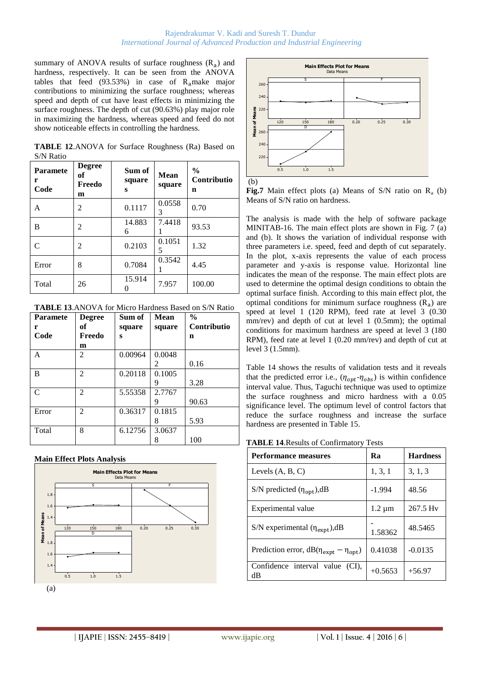summary of ANOVA results of surface roughness  $(R_a)$  and hardness, respectively. It can be seen from the ANOVA tables that feed  $(93.53%)$  in case of  $R_a$ make major contributions to minimizing the surface roughness; whereas speed and depth of cut have least effects in minimizing the surface roughness. The depth of cut (90.63%) play major role in maximizing the hardness, whereas speed and feed do not show noticeable effects in controlling the hardness.

**TABLE 12**.ANOVA for Surface Roughness (Ra) Based on S/N Ratio

| <b>Paramete</b><br>r<br>Code | <b>Degree</b><br>of<br>Freedo<br>m | Sum of<br>square<br>S | Mean<br>square | $\frac{6}{9}$<br>Contributio<br>n |
|------------------------------|------------------------------------|-----------------------|----------------|-----------------------------------|
| A                            | 2                                  | 0.1117                | 0.0558<br>3    | 0.70                              |
| B                            | 2                                  | 14.883<br>6           | 7.4418         | 93.53                             |
| C                            | 2                                  | 0.2103                | 0.1051<br>5    | 1.32                              |
| Error                        | 8                                  | 0.7084                | 0.3542         | 4.45                              |
| Total                        | 26                                 | 15.914                | 7.957          | 100.00                            |

**TABLE 13**.ANOVA for Micro Hardness Based on S/N Ratio

| <b>Paramete</b> | <b>Degree</b>               | Sum of  | Mean   | $\frac{0}{0}$ |
|-----------------|-----------------------------|---------|--------|---------------|
| r               | оf                          | square  | square | Contributio   |
| Code            | Freedo                      | S       |        | n             |
|                 | m                           |         |        |               |
| A               | $\mathfrak{D}$              | 0.00964 | 0.0048 |               |
|                 |                             |         | 2      | 0.16          |
| B               | 2                           | 0.20118 | 0.1005 |               |
|                 |                             |         | 9      | 3.28          |
| $\mathcal{C}$   | $\overline{2}$              | 5.55358 | 2.7767 |               |
|                 |                             |         | 9      | 90.63         |
| Error           | $\mathcal{D}_{\mathcal{L}}$ | 0.36317 | 0.1815 |               |
|                 |                             |         | 8      | 5.93          |
| Total           | 8                           | 6.12756 | 3.0637 |               |
|                 |                             |         | 8      | 100           |

**Main Effect Plots Analysis**





(b)

**Fig.7** Main effect plots (a) Means of S/N ratio on  $R_a$  (b) Means of S/N ratio on hardness.

The analysis is made with the help of software package MINITAB-16. The main effect plots are shown in Fig. 7 (a) and (b). It shows the variation of individual response with three parameters i.e. speed, feed and depth of cut separately. In the plot, x-axis represents the value of each process parameter and y-axis is response value. Horizontal line indicates the mean of the response. The main effect plots are used to determine the optimal design conditions to obtain the optimal surface finish. According to this main effect plot, the optimal conditions for minimum surface roughness  $(R_a)$  are speed at level 1 (120 RPM), feed rate at level 3 (0.30 mm/rev) and depth of cut at level 1 (0.5mm); the optimal conditions for maximum hardness are speed at level 3 (180 RPM), feed rate at level 1 (0.20 mm/rev) and depth of cut at level 3 (1.5mm).

Table 14 shows the results of validation tests and it reveals that the predicted error i.e.,  $(\eta_{opt} - \eta_{obs})$  is within confidence interval value. Thus, Taguchi technique was used to optimize the surface roughness and micro hardness with a 0.05 significance level. The optimum level of control factors that reduce the surface roughness and increase the surface hardness are presented in Table 15.

|--|

| <b>Performance measures</b>                      | Ra          | <b>Hardness</b> |
|--------------------------------------------------|-------------|-----------------|
| Levels $(A, B, C)$                               | 1, 3, 1     | 3, 1, 3         |
| S/N predicted $(\eta_{opt})$ , dB                | $-1.994$    | 48.56           |
| Experimental value                               | $1.2 \mu m$ | 267.5 Hy        |
| S/N experimental $(\eta_{expt})$ , dB            | 1.58362     | 48.5465         |
| Prediction error, $dB(\eta_{expt} - \eta_{opt})$ | 0.41038     | $-0.0135$       |
| Confidence interval value (CI),<br>dB            | $+0.5653$   | $+56.97$        |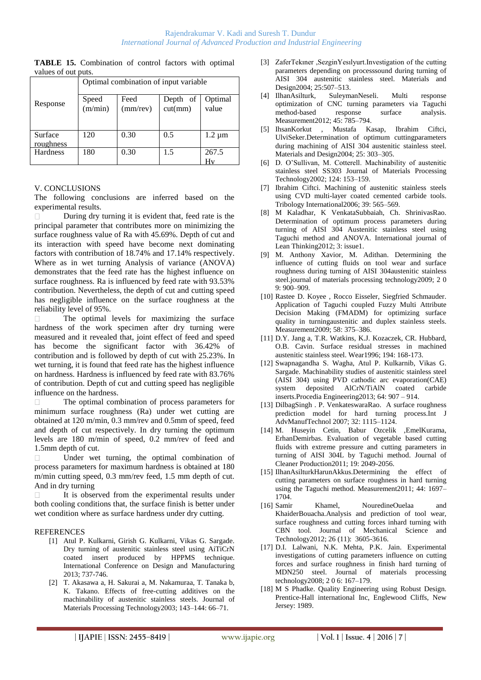|                     | <b>TABLE 15.</b> Combination of control factors with optimal |  |  |  |
|---------------------|--------------------------------------------------------------|--|--|--|
| values of out puts. |                                                              |  |  |  |

|                      | Optimal combination of input variable |                  |                     |                  |  |  |
|----------------------|---------------------------------------|------------------|---------------------|------------------|--|--|
| Response             | Speed<br>$\overline{\text{(m/min)}}$  | Feed<br>(mm/rev) | Depth of<br>cut(mm) | Optimal<br>value |  |  |
| Surface<br>roughness | 120                                   | 0.30             | 0.5                 | $1.2 \mu m$      |  |  |
| Hardness             | 180                                   | 0.30             | 1.5                 | 267.5<br>Hv      |  |  |

## V. CONCLUSIONS

The following conclusions are inferred based on the experimental results.

During dry turning it is evident that, feed rate is the principal parameter that contributes more on minimizing the surface roughness value of Ra with 45.69%. Depth of cut and its interaction with speed have become next dominating factors with contribution of 18.74% and 17.14% respectively. Where as in wet turning Analysis of variance (ANOVA) demonstrates that the feed rate has the highest influence on surface roughness. Ra is influenced by feed rate with 93.53% contribution. Nevertheless, the depth of cut and cutting speed has negligible influence on the surface roughness at the reliability level of 95%.

The optimal levels for maximizing the surface hardness of the work specimen after dry turning were measured and it revealed that, joint effect of feed and speed has become the significant factor with 36.42% of contribution and is followed by depth of cut with 25.23%. In wet turning, it is found that feed rate has the highest influence on hardness. Hardness is influenced by feed rate with 83.76% of contribution. Depth of cut and cutting speed has negligible influence on the hardness.

The optimal combination of process parameters for minimum surface roughness (Ra) under wet cutting are obtained at 120 m/min, 0.3 mm/rev and 0.5mm of speed, feed and depth of cut respectively. In dry turning the optimum levels are 180 m/min of speed, 0.2 mm/rev of feed and 1.5mm depth of cut.

Under wet turning, the optimal combination of process parameters for maximum hardness is obtained at 180 m/min cutting speed, 0.3 mm/rev feed, 1.5 mm depth of cut. And in dry turning

It is observed from the experimental results under both cooling conditions that, the surface finish is better under wet condition where as surface hardness under dry cutting.

#### REFERENCES

- [1] Atul P. Kulkarni, Girish G. Kulkarni, Vikas G. Sargade. Dry turning of austenitic stainless steel using AiTiCrN coated insert produced by HPPMS technique. International Conference on Design and Manufacturing 2013; 737-746.
- [2] T. Akasawa a, H. Sakurai a, M. Nakamuraa, T. Tanaka b, K. Takano. Effects of free-cutting additives on the machinability of austenitic stainless steels. Journal of Materials Processing Technology2003; 143–144: 66–71.
- [3] ZaferTekıner ,SezginYesılyurt.Investigation of the cutting parameters depending on processsound during turning of AISI 304 austenitic stainless steel. Materials and Design2004; 25:507–513.
- [4] IlhanAsilturk, SuleymanNeseli. Multi response optimization of CNC turning parameters via Taguchi method-based response surface analysis. Measurement2012; 45: 785–794.
- [5] IhsanKorkut , Mustafa Kasap, Ibrahim Ciftci, UlviSeker.Determination of optimum cuttingparameters during machining of AISI 304 austenitic stainless steel. Materials and Design2004; 25: 303–305.
- [6] D. O"Sullivan, M. Cotterell. Machinability of austenitic stainless steel SS303 Journal of Materials Processing Technology2002; 124: 153–159.
- [7] Ibrahim Ciftci. Machining of austenitic stainless steels using CVD multi-layer coated cemented carbide tools. Tribology International2006; 39: 565–569.
- [8] M Kaladhar, K VenkataSubbaiah, Ch. ShrinivasRao. Determination of optimum process parameters during turning of AISI 304 Austenitic stainless steel using Taguchi method and ANOVA. International journal of Lean Thinking2012; 3: issue1.
- [9] M. Anthony Xavior, M. Adithan. Determining the influence of cutting fluids on tool wear and surface roughness during turning of AISI 304austenitic stainless steel.journal of materials processing technology2009; 2 0 9: 900–909.
- [10] Rastee D. Koyee , Rocco Eisseler, Siegfried Schmauder. Application of Taguchi coupled Fuzzy Multi Attribute Decision Making (FMADM) for optimizing surface quality in turningaustenitic and duplex stainless steels. Measurement2009; 58: 375–386.
- [11] D.Y. Jang a, T.R. Watkins, K.J. Kozaczek, CR. Hubbard, O.B. Cavin. Surface residual stresses in machined austenitic stainless steel. Wear1996; 194: 168-173.
- [12] Swapnagandha S. Wagha, Atul P. Kulkarnib, Vikas G. Sargade. Machinability studies of austenitic stainless steel (AISI 304) using PVD cathodic arc evaporation(CAE) system deposited AlCrN/TiAlN coated carbide inserts.Procedia Engineering2013; 64: 907 – 914.
- [13] DilbagSingh . P. VenkateswaraRao. A surface roughness prediction model for hard turning process.Int J AdvManufTechnol 2007; 32: 1115–1124.
- [14] M. Huseyin Cetin, Babur Ozcelik ,EmelKurama, ErhanDemirbas. Evaluation of vegetable based cutting fluids with extreme pressure and cutting parameters in turning of AISI 304L by Taguchi method. Journal of Cleaner Production2011; 19: 2049-2056.
- [15] IlhanAsilturkHarunAkkus.Determining the effect of cutting parameters on surface roughness in hard turning using the Taguchi method. Measurement2011; 44: 1697– 1704.
- [16] Samir Khamel, NouredineOuelaa and KhaiderBouacha.Analysis and prediction of tool wear, surface roughness and cutting forces inhard turning with CBN tool. Journal of Mechanical Science and Technology2012; 26 (11): 3605-3616.
- [17] D.I. Lalwani, N.K. Mehta, P.K. Jain. Experimental investigations of cutting parameters influence on cutting forces and surface roughness in finish hard turning of MDN250 steel. Journal of materials processing technology2008; 2 0 6: 167–179.
- [18] M S Phadke. Quality Engineering using Robust Design. Prentice-Hall international Inc, Englewood Cliffs, New Jersey: 1989.